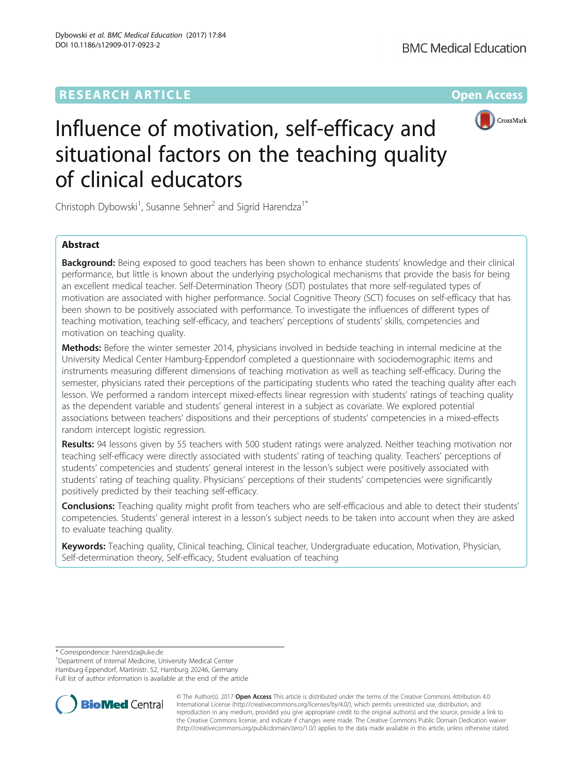

# Influence of motivation, self-efficacy and situational factors on the teaching quality of clinical educators

Christoph Dybowski<sup>1</sup>, Susanne Sehner<sup>2</sup> and Sigrid Harendza<sup>1\*</sup>

## Abstract

**Background:** Being exposed to good teachers has been shown to enhance students' knowledge and their clinical performance, but little is known about the underlying psychological mechanisms that provide the basis for being an excellent medical teacher. Self-Determination Theory (SDT) postulates that more self-regulated types of motivation are associated with higher performance. Social Cognitive Theory (SCT) focuses on self-efficacy that has been shown to be positively associated with performance. To investigate the influences of different types of teaching motivation, teaching self-efficacy, and teachers' perceptions of students' skills, competencies and motivation on teaching quality.

Methods: Before the winter semester 2014, physicians involved in bedside teaching in internal medicine at the University Medical Center Hamburg-Eppendorf completed a questionnaire with sociodemographic items and instruments measuring different dimensions of teaching motivation as well as teaching self-efficacy. During the semester, physicians rated their perceptions of the participating students who rated the teaching quality after each lesson. We performed a random intercept mixed-effects linear regression with students' ratings of teaching quality as the dependent variable and students' general interest in a subject as covariate. We explored potential associations between teachers' dispositions and their perceptions of students' competencies in a mixed-effects random intercept logistic regression.

Results: 94 lessons given by 55 teachers with 500 student ratings were analyzed. Neither teaching motivation nor teaching self-efficacy were directly associated with students' rating of teaching quality. Teachers' perceptions of students' competencies and students' general interest in the lesson's subject were positively associated with students' rating of teaching quality. Physicians' perceptions of their students' competencies were significantly positively predicted by their teaching self-efficacy.

Conclusions: Teaching quality might profit from teachers who are self-efficacious and able to detect their students' competencies. Students' general interest in a lesson's subject needs to be taken into account when they are asked to evaluate teaching quality.

Keywords: Teaching quality, Clinical teaching, Clinical teacher, Undergraduate education, Motivation, Physician, Self-determination theory, Self-efficacy, Student evaluation of teaching

\* Correspondence: [harendza@uke.de](mailto:harendza@uke.de) <sup>1</sup>

<sup>1</sup>Department of Internal Medicine, University Medical Center

Hamburg-Eppendorf, Martinistr. 52, Hamburg 20246, Germany

Full list of author information is available at the end of the article



© The Author(s). 2017 **Open Access** This article is distributed under the terms of the Creative Commons Attribution 4.0 International License [\(http://creativecommons.org/licenses/by/4.0/](http://creativecommons.org/licenses/by/4.0/)), which permits unrestricted use, distribution, and reproduction in any medium, provided you give appropriate credit to the original author(s) and the source, provide a link to the Creative Commons license, and indicate if changes were made. The Creative Commons Public Domain Dedication waiver [\(http://creativecommons.org/publicdomain/zero/1.0/](http://creativecommons.org/publicdomain/zero/1.0/)) applies to the data made available in this article, unless otherwise stated.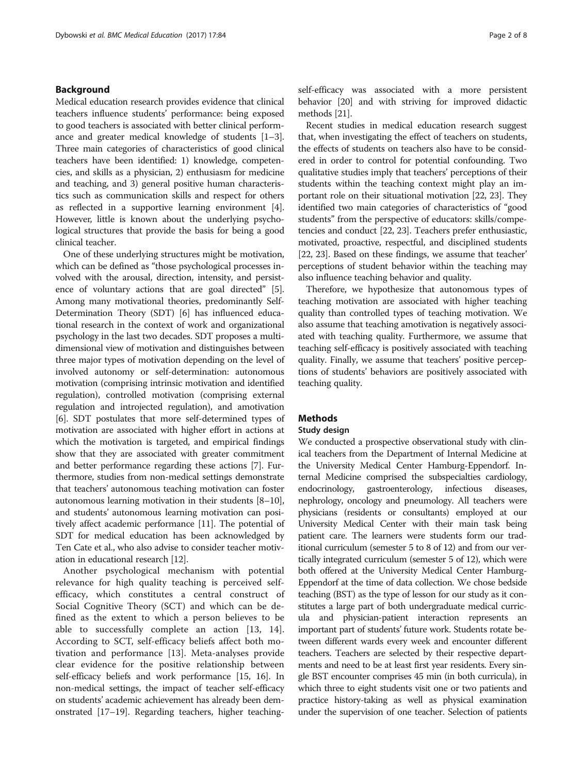## Background

Medical education research provides evidence that clinical teachers influence students' performance: being exposed to good teachers is associated with better clinical performance and greater medical knowledge of students [[1](#page-7-0)–[3](#page-7-0)]. Three main categories of characteristics of good clinical teachers have been identified: 1) knowledge, competencies, and skills as a physician, 2) enthusiasm for medicine and teaching, and 3) general positive human characteristics such as communication skills and respect for others as reflected in a supportive learning environment [[4](#page-7-0)]. However, little is known about the underlying psychological structures that provide the basis for being a good clinical teacher.

One of these underlying structures might be motivation, which can be defined as "those psychological processes involved with the arousal, direction, intensity, and persistence of voluntary actions that are goal directed" [[5](#page-7-0)]. Among many motivational theories, predominantly Self-Determination Theory (SDT) [\[6](#page-7-0)] has influenced educational research in the context of work and organizational psychology in the last two decades. SDT proposes a multidimensional view of motivation and distinguishes between three major types of motivation depending on the level of involved autonomy or self-determination: autonomous motivation (comprising intrinsic motivation and identified regulation), controlled motivation (comprising external regulation and introjected regulation), and amotivation [[6\]](#page-7-0). SDT postulates that more self-determined types of motivation are associated with higher effort in actions at which the motivation is targeted, and empirical findings show that they are associated with greater commitment and better performance regarding these actions [\[7](#page-7-0)]. Furthermore, studies from non-medical settings demonstrate that teachers' autonomous teaching motivation can foster autonomous learning motivation in their students [\[8](#page-7-0)–[10](#page-7-0)], and students' autonomous learning motivation can positively affect academic performance [[11](#page-7-0)]. The potential of SDT for medical education has been acknowledged by Ten Cate et al., who also advise to consider teacher motivation in educational research [[12](#page-7-0)].

Another psychological mechanism with potential relevance for high quality teaching is perceived selfefficacy, which constitutes a central construct of Social Cognitive Theory (SCT) and which can be defined as the extent to which a person believes to be able to successfully complete an action [[13](#page-7-0), [14](#page-7-0)]. According to SCT, self-efficacy beliefs affect both motivation and performance [[13\]](#page-7-0). Meta-analyses provide clear evidence for the positive relationship between self-efficacy beliefs and work performance [\[15](#page-7-0), [16](#page-7-0)]. In non-medical settings, the impact of teacher self-efficacy on students' academic achievement has already been demonstrated [\[17](#page-7-0)–[19](#page-7-0)]. Regarding teachers, higher teachingself-efficacy was associated with a more persistent behavior [[20\]](#page-7-0) and with striving for improved didactic methods [\[21\]](#page-7-0).

Recent studies in medical education research suggest that, when investigating the effect of teachers on students, the effects of students on teachers also have to be considered in order to control for potential confounding. Two qualitative studies imply that teachers' perceptions of their students within the teaching context might play an important role on their situational motivation [\[22](#page-7-0), [23\]](#page-7-0). They identified two main categories of characteristics of "good students" from the perspective of educators: skills/competencies and conduct [\[22, 23](#page-7-0)]. Teachers prefer enthusiastic, motivated, proactive, respectful, and disciplined students [[22](#page-7-0), [23](#page-7-0)]. Based on these findings, we assume that teacher' perceptions of student behavior within the teaching may also influence teaching behavior and quality.

Therefore, we hypothesize that autonomous types of teaching motivation are associated with higher teaching quality than controlled types of teaching motivation. We also assume that teaching amotivation is negatively associated with teaching quality. Furthermore, we assume that teaching self-efficacy is positively associated with teaching quality. Finally, we assume that teachers' positive perceptions of students' behaviors are positively associated with teaching quality.

## **Methods**

#### Study design

We conducted a prospective observational study with clinical teachers from the Department of Internal Medicine at the University Medical Center Hamburg-Eppendorf. Internal Medicine comprised the subspecialties cardiology, endocrinology, gastroenterology, infectious diseases, nephrology, oncology and pneumology. All teachers were physicians (residents or consultants) employed at our University Medical Center with their main task being patient care. The learners were students form our traditional curriculum (semester 5 to 8 of 12) and from our vertically integrated curriculum (semester 5 of 12), which were both offered at the University Medical Center Hamburg-Eppendorf at the time of data collection. We chose bedside teaching (BST) as the type of lesson for our study as it constitutes a large part of both undergraduate medical curricula and physician-patient interaction represents an important part of students' future work. Students rotate between different wards every week and encounter different teachers. Teachers are selected by their respective departments and need to be at least first year residents. Every single BST encounter comprises 45 min (in both curricula), in which three to eight students visit one or two patients and practice history-taking as well as physical examination under the supervision of one teacher. Selection of patients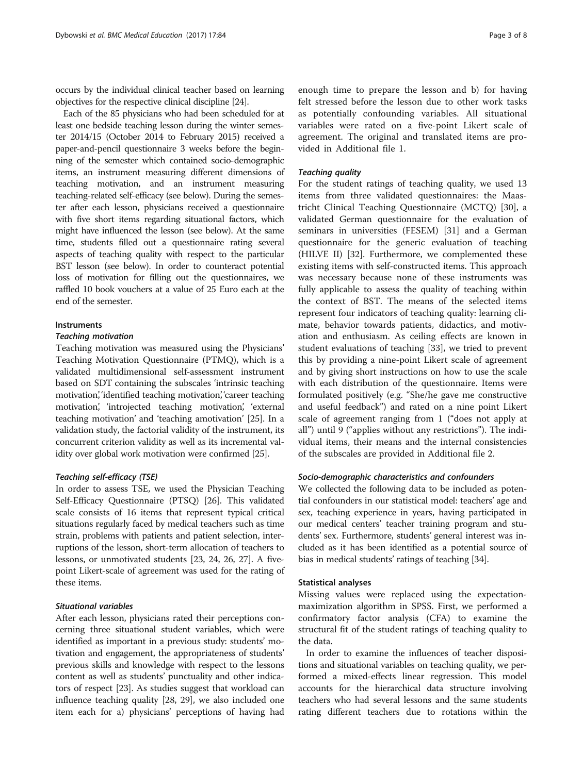occurs by the individual clinical teacher based on learning objectives for the respective clinical discipline [\[24](#page-7-0)].

Each of the 85 physicians who had been scheduled for at least one bedside teaching lesson during the winter semester 2014/15 (October 2014 to February 2015) received a paper-and-pencil questionnaire 3 weeks before the beginning of the semester which contained socio-demographic items, an instrument measuring different dimensions of teaching motivation, and an instrument measuring teaching-related self-efficacy (see below). During the semester after each lesson, physicians received a questionnaire with five short items regarding situational factors, which might have influenced the lesson (see below). At the same time, students filled out a questionnaire rating several aspects of teaching quality with respect to the particular BST lesson (see below). In order to counteract potential loss of motivation for filling out the questionnaires, we raffled 10 book vouchers at a value of 25 Euro each at the end of the semester.

## Instruments

## Teaching motivation

Teaching motivation was measured using the Physicians' Teaching Motivation Questionnaire (PTMQ), which is a validated multidimensional self-assessment instrument based on SDT containing the subscales 'intrinsic teaching motivation', 'identified teaching motivation', 'career teaching motivation', 'introjected teaching motivation', 'external teaching motivation' and 'teaching amotivation' [[25](#page-7-0)]. In a validation study, the factorial validity of the instrument, its concurrent criterion validity as well as its incremental validity over global work motivation were confirmed [[25](#page-7-0)].

## Teaching self-efficacy (TSE)

In order to assess TSE, we used the Physician Teaching Self-Efficacy Questionnaire (PTSQ) [[26](#page-7-0)]. This validated scale consists of 16 items that represent typical critical situations regularly faced by medical teachers such as time strain, problems with patients and patient selection, interruptions of the lesson, short-term allocation of teachers to lessons, or unmotivated students [[23](#page-7-0), [24, 26](#page-7-0), [27\]](#page-7-0). A fivepoint Likert-scale of agreement was used for the rating of these items.

## Situational variables

After each lesson, physicians rated their perceptions concerning three situational student variables, which were identified as important in a previous study: students' motivation and engagement, the appropriateness of students' previous skills and knowledge with respect to the lessons content as well as students' punctuality and other indicators of respect [\[23](#page-7-0)]. As studies suggest that workload can influence teaching quality [[28](#page-7-0), [29](#page-7-0)], we also included one item each for a) physicians' perceptions of having had

enough time to prepare the lesson and b) for having felt stressed before the lesson due to other work tasks as potentially confounding variables. All situational variables were rated on a five-point Likert scale of agreement. The original and translated items are provided in Additional file [1.](#page-6-0)

## Teaching quality

For the student ratings of teaching quality, we used 13 items from three validated questionnaires: the Maastricht Clinical Teaching Questionnaire (MCTQ) [[30\]](#page-7-0), a validated German questionnaire for the evaluation of seminars in universities (FESEM) [[31](#page-7-0)] and a German questionnaire for the generic evaluation of teaching (HILVE II) [[32\]](#page-7-0). Furthermore, we complemented these existing items with self-constructed items. This approach was necessary because none of these instruments was fully applicable to assess the quality of teaching within the context of BST. The means of the selected items represent four indicators of teaching quality: learning climate, behavior towards patients, didactics, and motivation and enthusiasm. As ceiling effects are known in student evaluations of teaching [\[33](#page-7-0)], we tried to prevent this by providing a nine-point Likert scale of agreement and by giving short instructions on how to use the scale with each distribution of the questionnaire. Items were formulated positively (e.g. "She/he gave me constructive and useful feedback") and rated on a nine point Likert scale of agreement ranging from 1 ("does not apply at all") until 9 ("applies without any restrictions"). The individual items, their means and the internal consistencies of the subscales are provided in Additional file [2](#page-6-0).

## Socio-demographic characteristics and confounders

We collected the following data to be included as potential confounders in our statistical model: teachers' age and sex, teaching experience in years, having participated in our medical centers' teacher training program and students' sex. Furthermore, students' general interest was included as it has been identified as a potential source of bias in medical students' ratings of teaching [[34](#page-7-0)].

#### Statistical analyses

Missing values were replaced using the expectationmaximization algorithm in SPSS. First, we performed a confirmatory factor analysis (CFA) to examine the structural fit of the student ratings of teaching quality to the data.

In order to examine the influences of teacher dispositions and situational variables on teaching quality, we performed a mixed-effects linear regression. This model accounts for the hierarchical data structure involving teachers who had several lessons and the same students rating different teachers due to rotations within the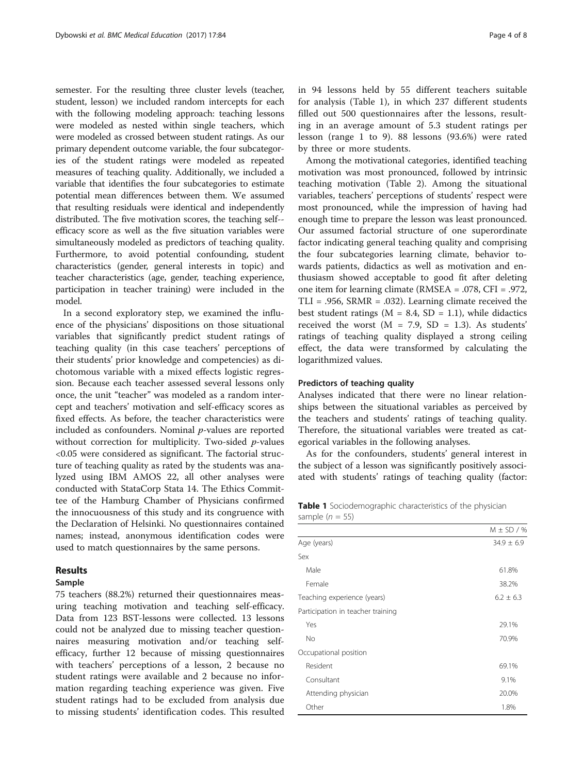semester. For the resulting three cluster levels (teacher, student, lesson) we included random intercepts for each with the following modeling approach: teaching lessons were modeled as nested within single teachers, which were modeled as crossed between student ratings. As our primary dependent outcome variable, the four subcategories of the student ratings were modeled as repeated measures of teaching quality. Additionally, we included a variable that identifies the four subcategories to estimate potential mean differences between them. We assumed that resulting residuals were identical and independently distributed. The five motivation scores, the teaching self- efficacy score as well as the five situation variables were simultaneously modeled as predictors of teaching quality. Furthermore, to avoid potential confounding, student characteristics (gender, general interests in topic) and teacher characteristics (age, gender, teaching experience, participation in teacher training) were included in the model.

In a second exploratory step, we examined the influence of the physicians' dispositions on those situational variables that significantly predict student ratings of teaching quality (in this case teachers' perceptions of their students' prior knowledge and competencies) as dichotomous variable with a mixed effects logistic regression. Because each teacher assessed several lessons only once, the unit "teacher" was modeled as a random intercept and teachers' motivation and self-efficacy scores as fixed effects. As before, the teacher characteristics were included as confounders. Nominal p-values are reported without correction for multiplicity. Two-sided *p*-values <0.05 were considered as significant. The factorial structure of teaching quality as rated by the students was analyzed using IBM AMOS 22, all other analyses were conducted with StataCorp Stata 14. The Ethics Committee of the Hamburg Chamber of Physicians confirmed the innocuousness of this study and its congruence with the Declaration of Helsinki. No questionnaires contained names; instead, anonymous identification codes were used to match questionnaires by the same persons.

## Results

## Sample

75 teachers (88.2%) returned their questionnaires measuring teaching motivation and teaching self-efficacy. Data from 123 BST-lessons were collected. 13 lessons could not be analyzed due to missing teacher questionnaires measuring motivation and/or teaching selfefficacy, further 12 because of missing questionnaires with teachers' perceptions of a lesson, 2 because no student ratings were available and 2 because no information regarding teaching experience was given. Five student ratings had to be excluded from analysis due to missing students' identification codes. This resulted in 94 lessons held by 55 different teachers suitable for analysis (Table 1), in which 237 different students filled out 500 questionnaires after the lessons, resulting in an average amount of 5.3 student ratings per lesson (range 1 to 9). 88 lessons (93.6%) were rated by three or more students.

Among the motivational categories, identified teaching motivation was most pronounced, followed by intrinsic teaching motivation (Table [2\)](#page-4-0). Among the situational variables, teachers' perceptions of students' respect were most pronounced, while the impression of having had enough time to prepare the lesson was least pronounced. Our assumed factorial structure of one superordinate factor indicating general teaching quality and comprising the four subcategories learning climate, behavior towards patients, didactics as well as motivation and enthusiasm showed acceptable to good fit after deleting one item for learning climate (RMSEA = .078, CFI = .972,  $TLI = .956$ ,  $SRMR = .032$ ). Learning climate received the best student ratings ( $M = 8.4$ ,  $SD = 1.1$ ), while didactics received the worst ( $M = 7.9$ ,  $SD = 1.3$ ). As students' ratings of teaching quality displayed a strong ceiling effect, the data were transformed by calculating the logarithmized values.

#### Predictors of teaching quality

Analyses indicated that there were no linear relationships between the situational variables as perceived by the teachers and students' ratings of teaching quality. Therefore, the situational variables were treated as categorical variables in the following analyses.

As for the confounders, students' general interest in the subject of a lesson was significantly positively associated with students' ratings of teaching quality (factor:

Table 1 Sociodemographic characteristics of the physician sample ( $n = 55$ )

|                                   | $M \pm SD/$ %  |
|-----------------------------------|----------------|
| Age (years)                       | $34.9 \pm 6.9$ |
| Sex                               |                |
| Male                              | 61.8%          |
| Female                            | 38.2%          |
| Teaching experience (years)       | $6.2 \pm 6.3$  |
| Participation in teacher training |                |
| Yes                               | 29.1%          |
| No                                | 70.9%          |
| Occupational position             |                |
| Resident                          | 69.1%          |
| Consultant                        | 9.1%           |
| Attending physician               | 20.0%          |
| Other                             | 1.8%           |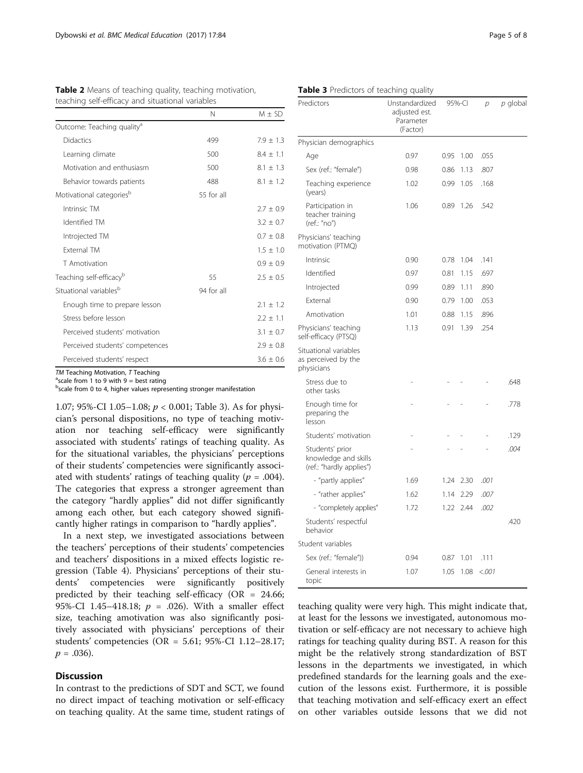| teaching self-efficacy and situational variables |            |               |  |  |
|--------------------------------------------------|------------|---------------|--|--|
|                                                  | N          | $M + SD$      |  |  |
| Outcome: Teaching quality <sup>a</sup>           |            |               |  |  |
| Didactics                                        | 499        | $7.9 \pm 1.3$ |  |  |
| Learning climate                                 | 500        | $8.4 \pm 1.1$ |  |  |
| Motivation and enthusiasm                        | 500        | $8.1 + 1.3$   |  |  |
| Behavior towards patients                        | 488        | $8.1 \pm 1.2$ |  |  |
| Motivational categories <sup>b</sup>             | 55 for all |               |  |  |
| Intrinsic TM                                     |            | $2.7 \pm 0.9$ |  |  |
| Identified TM                                    |            | $3.2 \pm 0.7$ |  |  |
| Introjected TM                                   |            | $0.7 \pm 0.8$ |  |  |
| <b>External TM</b>                               |            | $1.5 \pm 1.0$ |  |  |
| T Amotivation                                    |            | $0.9 \pm 0.9$ |  |  |
| Teaching self-efficacy <sup>b</sup>              | 55         | $2.5 \pm 0.5$ |  |  |
| Situational variables <sup>b</sup>               | 94 for all |               |  |  |
| Enough time to prepare lesson                    |            | $2.1 \pm 1.2$ |  |  |
| Stress before lesson                             |            | $2.2 \pm 1.1$ |  |  |
| Perceived students' motivation                   |            | $3.1 \pm 0.7$ |  |  |
| Perceived students' competences                  |            | $2.9 \pm 0.8$ |  |  |
| Perceived students' respect                      |            | $3.6 \pm 0.6$ |  |  |

<span id="page-4-0"></span>Table 2 Means of teaching quality, teaching motivation,

 $TM$  Teaching Motivation,  $T$  Teaching

 $\textsuperscript{a}$ scale from 1 to 9 with 9 = best rating

**bscale from 0 to 4, higher values representing stronger manifestation** 

1.07; 95%-CI 1.05–1.08;  $p < 0.001$ ; Table 3). As for physician's personal dispositions, no type of teaching motivation nor teaching self-efficacy were significantly associated with students' ratings of teaching quality. As for the situational variables, the physicians' perceptions of their students' competencies were significantly associated with students' ratings of teaching quality ( $p = .004$ ). The categories that express a stronger agreement than the category "hardly applies" did not differ significantly among each other, but each category showed significantly higher ratings in comparison to "hardly applies".

In a next step, we investigated associations between the teachers' perceptions of their students' competencies and teachers' dispositions in a mixed effects logistic regression (Table [4](#page-5-0)). Physicians' perceptions of their students' competencies were significantly positively predicted by their teaching self-efficacy ( $OR = 24.66$ ; 95%-CI 1.45-418.18;  $p = .026$ ). With a smaller effect size, teaching amotivation was also significantly positively associated with physicians' perceptions of their students' competencies (OR = 5.61; 95%-CI 1.12–28.17;  $p = .036$ ).

## **Discussion**

In contrast to the predictions of SDT and SCT, we found no direct impact of teaching motivation or self-efficacy on teaching quality. At the same time, student ratings of

| Predictors                                                          | Unstandardized<br>adjusted est.<br>Parameter<br>(Factor) | 95%-CI |      | р     | p global |
|---------------------------------------------------------------------|----------------------------------------------------------|--------|------|-------|----------|
| Physician demographics                                              |                                                          |        |      |       |          |
| Age                                                                 | 0.97                                                     | 0.95   | 1.00 | .055  |          |
| Sex (ref.: "female")                                                | 0.98                                                     | 0.86   | 1.13 | .807  |          |
| Teaching experience<br>(years)                                      | 1.02                                                     | 0.99   | 1.05 | .168  |          |
| Participation in<br>teacher training<br>(ref.: "no")                | 1.06                                                     | 0.89   | 1.26 | .542  |          |
| Physicians' teaching<br>motivation (PTMQ)                           |                                                          |        |      |       |          |
| Intrinsic                                                           | 0.90                                                     | 0.78   | 1.04 | .141  |          |
| Identified                                                          | 0.97                                                     | 0.81   | 1.15 | .697  |          |
| Introjected                                                         | 0.99                                                     | 0.89   | 1.11 | .890  |          |
| External                                                            | 0.90                                                     | 0.79   | 1.00 | .053  |          |
| Amotivation                                                         | 1.01                                                     | 0.88   | 1.15 | .896  |          |
| Physicians' teaching<br>self-efficacy (PTSQ)                        | 1.13                                                     | 0.91   | 1.39 | .254  |          |
| Situational variables<br>as perceived by the<br>physicians          |                                                          |        |      |       |          |
| Stress due to<br>other tasks                                        |                                                          |        |      |       | .648     |
| Enough time for<br>preparing the<br>lesson                          |                                                          |        |      |       | .778     |
| Students' motivation                                                |                                                          |        |      |       | .129     |
| Students' prior<br>knowledge and skills<br>(ref.: "hardly applies") |                                                          |        |      |       | .004     |
| - "partly applies"                                                  | 1.69                                                     | 1.24   | 2.30 | .001  |          |
| - "rather applies"                                                  | 1.62                                                     | 1.14   | 2.29 | .007  |          |
| - "completely applies"                                              | 1.72                                                     | 1.22   | 2.44 | .002  |          |
| Students' respectful<br>behavior                                    |                                                          |        |      |       | .420     |
| Student variables                                                   |                                                          |        |      |       |          |
| Sex (ref.: "female"))                                               | 0.94                                                     | 0.87   | 1.01 | .111  |          |
| General interests in<br>topic                                       | 1.07                                                     | 1.05   | 1.08 | < 001 |          |

teaching quality were very high. This might indicate that, at least for the lessons we investigated, autonomous motivation or self-efficacy are not necessary to achieve high ratings for teaching quality during BST. A reason for this might be the relatively strong standardization of BST lessons in the departments we investigated, in which predefined standards for the learning goals and the execution of the lessons exist. Furthermore, it is possible that teaching motivation and self-efficacy exert an effect on other variables outside lessons that we did not

Table 3 Predictors of teaching quality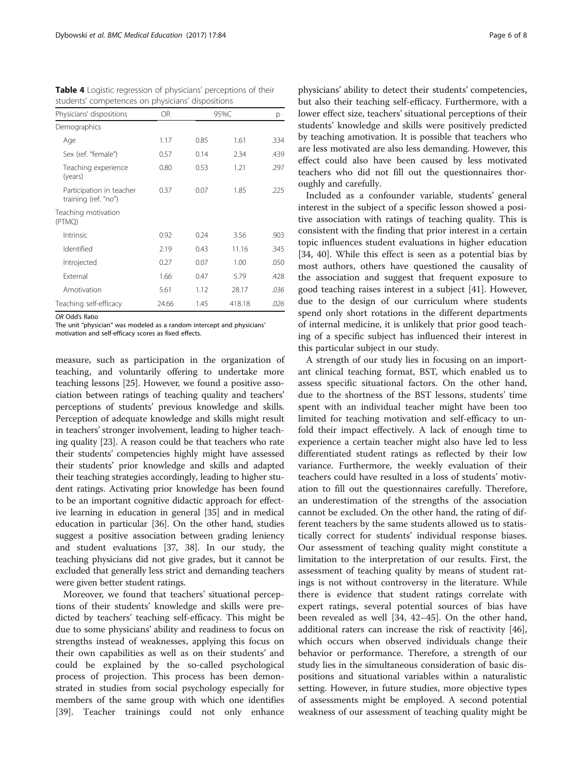| Physicians' dispositions                         | OR.   | 95%C |        | р    |
|--------------------------------------------------|-------|------|--------|------|
| Demographics                                     |       |      |        |      |
| Age                                              | 1.17  | 0.85 | 1.61   | .334 |
| Sex (ref. "female")                              | 0.57  | 0.14 | 2.34   | .439 |
| Teaching experience<br>(years)                   | 0.80  | 0.53 | 1.21   | .297 |
| Participation in teacher<br>training (ref. "no") | 0.37  | 0.07 | 1.85   | .225 |
| Teaching motivation<br>(PTMO)                    |       |      |        |      |
| Intrinsic                                        | 0.92  | 0.24 | 3.56   | .903 |
| Identified                                       | 2.19  | 0.43 | 11.16  | .345 |
| Introjected                                      | 0.27  | 0.07 | 1.00   | .050 |
| <b>External</b>                                  | 1.66  | 0.47 | 5.79   | .428 |
| Amotivation                                      | 5.61  | 1.12 | 28.17  | .036 |
| Teaching self-efficacy                           | 24.66 | 1.45 | 418.18 | .026 |

<span id="page-5-0"></span>Table 4 Logistic regression of physicians' perceptions of their students' competences on physicians' dispositions

OR Odd's Ratio

The unit "physician" was modeled as a random intercept and physicians'

motivation and self-efficacy scores as fixed effects.

measure, such as participation in the organization of teaching, and voluntarily offering to undertake more teaching lessons [\[25\]](#page-7-0). However, we found a positive association between ratings of teaching quality and teachers' perceptions of students' previous knowledge and skills. Perception of adequate knowledge and skills might result in teachers' stronger involvement, leading to higher teaching quality [\[23](#page-7-0)]. A reason could be that teachers who rate their students' competencies highly might have assessed their students' prior knowledge and skills and adapted their teaching strategies accordingly, leading to higher student ratings. Activating prior knowledge has been found to be an important cognitive didactic approach for effective learning in education in general [[35](#page-7-0)] and in medical education in particular [\[36\]](#page-7-0). On the other hand, studies suggest a positive association between grading leniency and student evaluations [\[37, 38\]](#page-7-0). In our study, the teaching physicians did not give grades, but it cannot be excluded that generally less strict and demanding teachers were given better student ratings.

Moreover, we found that teachers' situational perceptions of their students' knowledge and skills were predicted by teachers' teaching self-efficacy. This might be due to some physicians' ability and readiness to focus on strengths instead of weaknesses, applying this focus on their own capabilities as well as on their students' and could be explained by the so-called psychological process of projection. This process has been demonstrated in studies from social psychology especially for members of the same group with which one identifies [[39\]](#page-7-0). Teacher trainings could not only enhance

physicians' ability to detect their students' competencies, but also their teaching self-efficacy. Furthermore, with a lower effect size, teachers' situational perceptions of their students' knowledge and skills were positively predicted by teaching amotivation. It is possible that teachers who are less motivated are also less demanding. However, this effect could also have been caused by less motivated teachers who did not fill out the questionnaires thoroughly and carefully.

Included as a confounder variable, students' general interest in the subject of a specific lesson showed a positive association with ratings of teaching quality. This is consistent with the finding that prior interest in a certain topic influences student evaluations in higher education [[34, 40\]](#page-7-0). While this effect is seen as a potential bias by most authors, others have questioned the causality of the association and suggest that frequent exposure to good teaching raises interest in a subject [[41\]](#page-7-0). However, due to the design of our curriculum where students spend only short rotations in the different departments of internal medicine, it is unlikely that prior good teaching of a specific subject has influenced their interest in this particular subject in our study.

A strength of our study lies in focusing on an important clinical teaching format, BST, which enabled us to assess specific situational factors. On the other hand, due to the shortness of the BST lessons, students' time spent with an individual teacher might have been too limited for teaching motivation and self-efficacy to unfold their impact effectively. A lack of enough time to experience a certain teacher might also have led to less differentiated student ratings as reflected by their low variance. Furthermore, the weekly evaluation of their teachers could have resulted in a loss of students' motivation to fill out the questionnaires carefully. Therefore, an underestimation of the strengths of the association cannot be excluded. On the other hand, the rating of different teachers by the same students allowed us to statistically correct for students' individual response biases. Our assessment of teaching quality might constitute a limitation to the interpretation of our results. First, the assessment of teaching quality by means of student ratings is not without controversy in the literature. While there is evidence that student ratings correlate with expert ratings, several potential sources of bias have been revealed as well [\[34](#page-7-0), [42](#page-7-0)–[45](#page-7-0)]. On the other hand, additional raters can increase the risk of reactivity [\[46](#page-7-0)], which occurs when observed individuals change their behavior or performance. Therefore, a strength of our study lies in the simultaneous consideration of basic dispositions and situational variables within a naturalistic setting. However, in future studies, more objective types of assessments might be employed. A second potential weakness of our assessment of teaching quality might be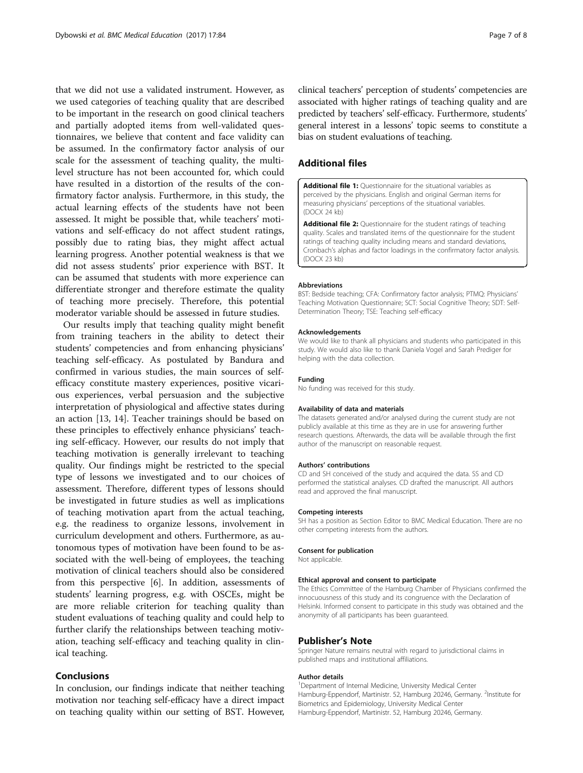<span id="page-6-0"></span>that we did not use a validated instrument. However, as we used categories of teaching quality that are described to be important in the research on good clinical teachers and partially adopted items from well-validated questionnaires, we believe that content and face validity can be assumed. In the confirmatory factor analysis of our scale for the assessment of teaching quality, the multilevel structure has not been accounted for, which could have resulted in a distortion of the results of the confirmatory factor analysis. Furthermore, in this study, the actual learning effects of the students have not been assessed. It might be possible that, while teachers' motivations and self-efficacy do not affect student ratings, possibly due to rating bias, they might affect actual learning progress. Another potential weakness is that we did not assess students' prior experience with BST. It can be assumed that students with more experience can differentiate stronger and therefore estimate the quality of teaching more precisely. Therefore, this potential moderator variable should be assessed in future studies.

Our results imply that teaching quality might benefit from training teachers in the ability to detect their students' competencies and from enhancing physicians' teaching self-efficacy. As postulated by Bandura and confirmed in various studies, the main sources of selfefficacy constitute mastery experiences, positive vicarious experiences, verbal persuasion and the subjective interpretation of physiological and affective states during an action [\[13](#page-7-0), [14](#page-7-0)]. Teacher trainings should be based on these principles to effectively enhance physicians' teaching self-efficacy. However, our results do not imply that teaching motivation is generally irrelevant to teaching quality. Our findings might be restricted to the special type of lessons we investigated and to our choices of assessment. Therefore, different types of lessons should be investigated in future studies as well as implications of teaching motivation apart from the actual teaching, e.g. the readiness to organize lessons, involvement in curriculum development and others. Furthermore, as autonomous types of motivation have been found to be associated with the well-being of employees, the teaching motivation of clinical teachers should also be considered from this perspective [[6\]](#page-7-0). In addition, assessments of students' learning progress, e.g. with OSCEs, might be are more reliable criterion for teaching quality than student evaluations of teaching quality and could help to further clarify the relationships between teaching motivation, teaching self-efficacy and teaching quality in clinical teaching.

## Conclusions

In conclusion, our findings indicate that neither teaching motivation nor teaching self-efficacy have a direct impact on teaching quality within our setting of BST. However, clinical teachers' perception of students' competencies are associated with higher ratings of teaching quality and are predicted by teachers' self-efficacy. Furthermore, students' general interest in a lessons' topic seems to constitute a bias on student evaluations of teaching.

## Additional files

[Additional file 1:](dx.doi.org/10.1186/s12909-017-0923-2) Questionnaire for the situational variables as perceived by the physicians. English and original German items for measuring physicians' perceptions of the situational variables. (DOCX 24 kb)

[Additional file 2:](dx.doi.org/10.1186/s12909-017-0923-2) Questionnaire for the student ratings of teaching quality. Scales and translated items of the questionnaire for the student ratings of teaching quality including means and standard deviations, Cronbach's alphas and factor loadings in the confirmatory factor analysis. (DOCX 23 kb)

#### Abbreviations

BST: Bedside teaching; CFA: Confirmatory factor analysis; PTMQ: Physicians' Teaching Motivation Questionnaire; SCT: Social Cognitive Theory; SDT: Self-Determination Theory; TSE: Teaching self-efficacy

#### Acknowledgements

We would like to thank all physicians and students who participated in this study. We would also like to thank Daniela Vogel and Sarah Prediger for helping with the data collection.

#### Funding

No funding was received for this study.

#### Availability of data and materials

The datasets generated and/or analysed during the current study are not publicly available at this time as they are in use for answering further research questions. Afterwards, the data will be available through the first author of the manuscript on reasonable request.

#### Authors' contributions

CD and SH conceived of the study and acquired the data. SS and CD performed the statistical analyses. CD drafted the manuscript. All authors read and approved the final manuscript.

#### Competing interests

SH has a position as Section Editor to BMC Medical Education. There are no other competing interests from the authors.

#### Consent for publication

Not applicable.

#### Ethical approval and consent to participate

The Ethics Committee of the Hamburg Chamber of Physicians confirmed the innocuousness of this study and its congruence with the Declaration of Helsinki. Informed consent to participate in this study was obtained and the anonymity of all participants has been guaranteed.

#### Publisher's Note

Springer Nature remains neutral with regard to jurisdictional claims in published maps and institutional affiliations.

#### Author details

<sup>1</sup>Department of Internal Medicine, University Medical Center Hamburg-Eppendorf, Martinistr. 52, Hamburg 20246, Germany. <sup>2</sup>Institute for Biometrics and Epidemiology, University Medical Center Hamburg-Eppendorf, Martinistr. 52, Hamburg 20246, Germany.